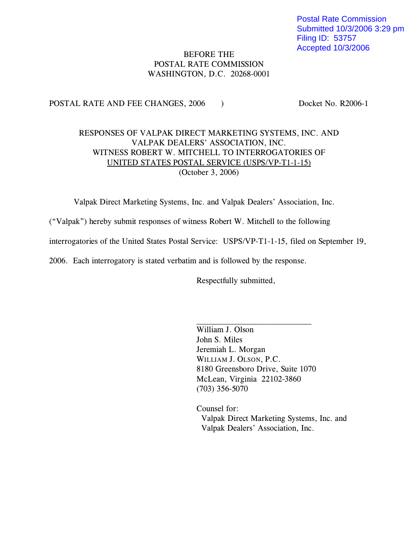Postal Rate Commission Submitted 10/3/2006 3:29 pm Filing ID: 53757 Accepted 10/3/2006

#### **BEFORE THE** POSTAL RATE COMMISSION  $\overline{P}$ ASHINGTON DC 20268-000 WASHINGTON, D.C. 20268-0001

 $\frac{1}{2}$ 

#### RESPONSES OF VALPAK DIRECT MARKETING SYSTEMS, INC. AND VALPAK DEALERS' ASSOCIATION, INC. WITNESS ROBERT W. MITCHELL TO INTERROGATORIES OF UNITED STATES POSTAL SERVICE (USPS/VP-T1-1-15)  $(October 3, 2006)$  $(2 \cdot 2 \cdot 2 \cdot 2 \cdot 3 \cdot 2 \cdot 3 \cdot 3 \cdot 4 \cdot 3 \cdot 3 \cdot 4 \cdot 3 \cdot 3 \cdot 4 \cdot 3 \cdot 3 \cdot 4 \cdot 3 \cdot 3 \cdot 4 \cdot 3 \cdot 3 \cdot 4 \cdot 3 \cdot 4 \cdot 3 \cdot 4 \cdot 3 \cdot 4 \cdot 3 \cdot 4 \cdot 3 \cdot 4 \cdot 3 \cdot 4 \cdot 3 \cdot 4 \cdot 3 \cdot 4 \cdot 3 \cdot 4 \cdot 3 \cdot 4 \cdot 3 \cdot 4 \cdot 3 \cdot 4 \cdot 3 \cdot 4 \cdot 3 \cdot 4 \cdot 3 \cdot 4 \cdot 3 \cdot$

Valpak Direct Marketing Systems, Inc. and Valpak Dealers' Association, Inc.

("Valpak") hereby submit responses of witness Robert W. Mitchell to the following

 $\sum_{\sigma}$  interretraction states  $\sum_{\sigma}$  interretation  $\sum_{\sigma}$  is the september 19, filed on  $\sum_{\sigma}$ 

2006. Each interrogatory is stated verbatim and is followed by the response.

Respectfully submitted,

William J. Olson John S. Miles Jeremiah L. Morgan WILLIAM J. OLSON, P.C. 8180 Greensboro Drive, Suite 1070 McLean, Virginia 22102-3860  $(703)$  356-5070  $(7, 0)$  356-5070

Counsel for:<br>Valpak Direct Marketing Systems, Inc. and Valpak Dealers' Association Inc. Valpak Dealers' Association, Inc.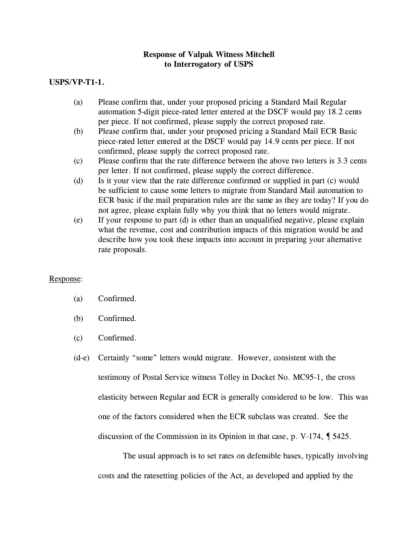#### **USPS/VP-T1-1.**

- (a) Please confirm that, under your proposed pricing a Standard Mail Regular per piece. If not confirmed, please supply the correct proposed rate.
- Please confirm that, under your proposed pricing a Standard Mail ECR Basic (b) Please confirm that, under your proposed pricing a Standard Mail ECR Basic piece-rated letter entered at the DSCF would pay 14.9 cents per piece. If not confirmed, please supply the correct proposed rate.
- Please confirm that the rate difference between the above two letters is 3.3 cents. (c) Please confirm that the rate difference between the above two let per letter. If not confirmed, please supply the correct difference.
- Is it your view that the rate difference confirmed or supplied in part (c) would (d) Is it your view that the rate difference confirmed or supplied in part (c) would be sufficient to cause some letters to migrate from Standard Mail automation to ECR basic if the mail preparation rules are the same as they are today? If you do not agree, please explain fully why you think that no letters would migrate.
- If your response to part (d) is other than an unqualified negative, please explain (e) If your response to part (d) is other than an unqualified negative, please explain what the revenue, cost and contribution impacts of this migration would be and describe how you took these impacts into account in preparing your alternative rate proposals. rate proposals.

#### Response:

#### Confirmed.  $\sum_{i=1}^{n}$

- $\left( \begin{array}{cc} 0 & 0 \\ 0 & 0 \end{array} \right)$
- $\ddot{\cdot}$
- (d-e) Certainly "some" letters would migrate. However, consistent with the testimony of Postal Service witness Tolley in Docket No. MC95-1, the cross elasticity between Regular and ECR is generally considered to be low. This was one of the factors considered when the ECR subclass was created. See the  $\alpha$  discussion of the Commission in its Opinion in that case, p. V-174,  $\parallel$  5425.

The usual approach is to set rates on defensible bases, typically involving costs and the ratesetting policies of the Act, as developed and applied by the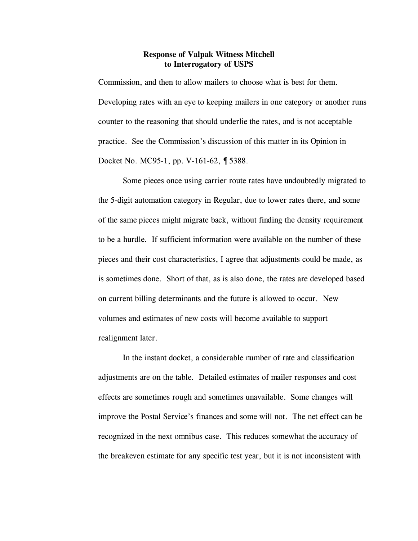Commission, and then to allow mailers to choose what is best for them.  $\mathcal{L}_{\mathbf{r}}$  and the keeping matrix in one category or another runs counter to the reasoning that should underlie the rates, and is not acceptable the rates,  $\sigma$ practice. See the Commission's discussion of this matter in its Opinion in Docket No. MC95-1, pp. V-161-62, ¶ 5388.

Some pieces once using carrier route rates have undoubtedly migrated to the 5-digit automation category in Regular, due to lower rates there, and some  $\sum_{i=1}^{n}$  the same pieces migration finding the density requirement. pieces and their cost characteristics, I agree that adjustments could be made, as is sometimes done. Short of that, as is also done, the rates are developed based on current billing determinants and the future is allowed to occur. New volumes and estimates of new costs will become available to support realignment later.

In the instant docket, a considerable number of rate and classification adjustments are on the table. Detailed estimates of mailer responses and cost effects are sometimes rough and sometimes unavailable. Some changes will improve the Postal Service's finances and some will not. The net effect can be recognized in the next omnibus case. This reduces somewhat the accuracy of  $t$  the breakeven estimate for any specific test year, but it is not increased with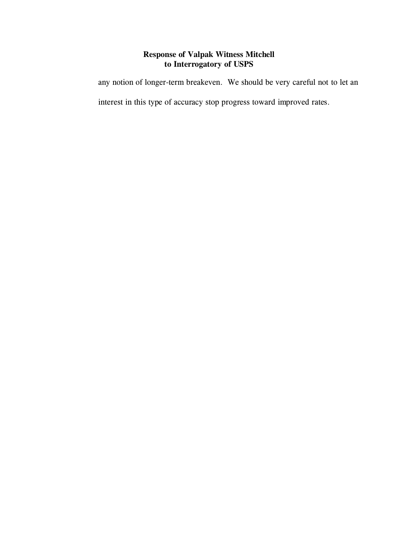any notion of longer-term breakeven. We should be very careful not to let an

interest in this type of accuracy stop progress toward improved rates.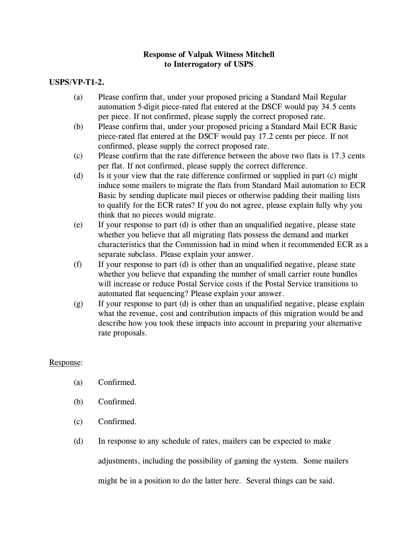# **USPS/VP-T1-2.**

- (a) Please confirm that, under your proposed pricing a Standard Mail Regular per piece. If not confirmed, please supply the correct proposed rate.
- Please confirm that, under your proposed pricing a Standard Mail ECR Basic (b) Please confirm that, under your proposed pricing a Standard Mail ECR Bas piece-rated flat entered at the DSCF would pay 17.2 cents per piece. If not confirmed, please supply the correct proposed rate.
- Please confirm that the rate difference between the above two flats is 17.3 cents. (c) Please confirm that the rate difference between the above two f<br>per flat. If not confirmed, please supply the correct difference.
- Is it your view that the rate difference confirmed or supplied in part (c) might (d) Is it your view that the rate difference confirmed or supplied in part (c) might induce some mailers to migrate the flats from Standard Mail automation to ECR Basic by sending duplicate mail pieces or otherwise padding their mailing lists to qualify for the ECR rates? If you do not agree, please explain fully why you think that no pieces would migrate.
- If your response to part  $(d)$  is other than an unqualified negative, please state (e) If your response to part (d) is other than an unqualified negative, please state whether you believe that all migrating flats possess the demand and market characteristics that the Commission had in mind when it recommended ECR as a separate subclass. Please explain your answer.
- If your response to part  $(d)$  is other than an unqualified negative, please state (f) If your response to part (d) is other than an unqualified negative, please state will increase or reduce Postal Service costs if the Postal Service transitions to automated flat sequencing? Please explain your answer.
- If your response to part (d) is other than an unqualified negative, please explain (g) If your response to part (d) is other than an unqualified negative, please explain what the revenue, cost and contribution impacts of this migration would be and describe how you took these impacts into account in preparing your alternative  $\frac{d}{dt}$  is the set of  $\frac{d}{dt}$  into account in preparing  $\frac{d}{dt}$  in proposition in preparing  $\frac{d}{dt}$ rate proposals.

#### Response:

- Confirmed.  $\ddot{\phantom{a}}$
- $\ddot{\phantom{a}}$
- Confirmed.  $\left(\frac{c}{c}\right)$  Confirmed.
- (e) In response to any schedule of rates, mailers can be expected to make

adjustments, including the possibility of gaming the system. Some mailers

might be in a position to do the latter here. Several things can be said.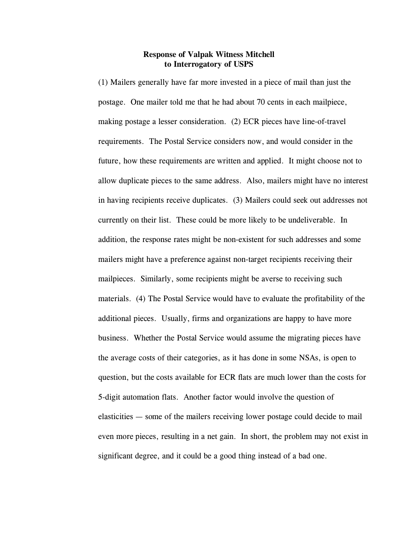(1) Mailers generally have far more invested in a piece of mail than just the postage. One mailer told me that he had about 70 cents in each mailpiece,  $\sigma_{\rm F}$  and  $\sigma_{\rm F}$  consideration. (2) Eq. pieces have line-of-travel requirements. The Postal Service considers now, and would consider in the future, how these requirements are written and applied. It might choose not to allow duplicate pieces to the same address. Also, mailers might have no interest in having recipients receive duplicates. (3) Mailers could seek out addresses not currently on the more list. The more list of the more list. The underline  $\mathcal{L}$ addition, the response rates might be non-existent for such addresses and some mailers might have a preference against non-target recipients receiving their mailpieces. Similarly, some recipients might be averse to receiving such materials. (4) The Postal Service would have to evaluate the profitability of the additional pieces. Usually, firms and organizations are happy to have more business. Whether the Postal Service would assume the migrating pieces have the average costs of their categories, as it has done in some NSAs, is open to question, but the costs available for ECR flats are much lower than the costs for 5-digit automation flats. Another factor would involve the question of elasticities — some of the mailers receiving lower postage could decide to mail even more pieces, resulting in a net gain. In short, the problem may not exist in

significant degree, and it could be a good thing instead of a bad one.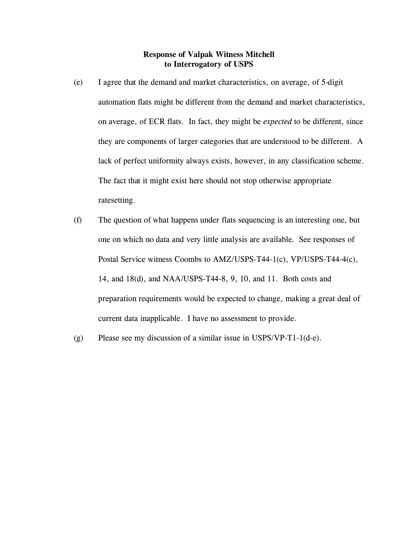- (e) I agree that the demand and market characteristics, on average, of 5-digit automation flats might be different from the demand and market characteristics, on average, of ECR flats. In fact, they might be *expected* to be different, since they are components of larger categories that are understood to be different. A lack of perfect uniformity always exists, however, in any classification scheme. The fact that it might exist here showed not stop otherwise appropriate ratesetting.
- (f) The question of what happens under flats sequencing is an interesting one, but one on which no data and very little analysis are available. See responses of Postal Service witness Coombs to AMZ/USPS-T44-1(c), VP/USPS-T44-4(c), 14, and 18(d), and NAA/USPS-T44-8, 9, 10, and 11. Both costs and preparation requirements would be expected to change, making a great deal of current data inapplicable. I have no assessment to provide.
- (g) Please see my discussion of a similar issue in USPS/VP-T1-1(d-e).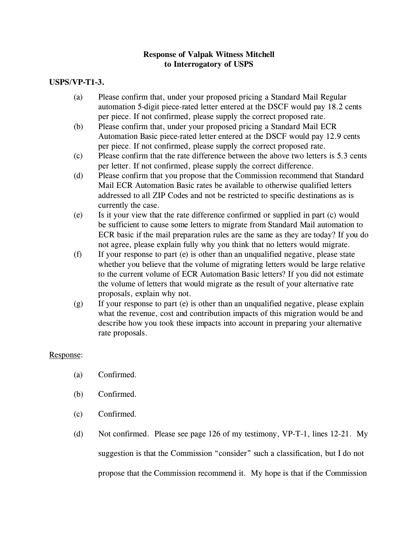# **USPS/VP-T1-3.**

- (a) Please confirm that, under your proposed pricing a Standard Mail Regular per piece. If not confirmed, please supply the correct proposed rate.
- Please confirm that, under your proposed pricing a Standard Mail ECR (b) Please confirm that, under your proposed pricing a Standard Mail ECR<br>Automation Basic piece-rated letter entered at the DSCF would pay 12.9 cents per piece. If not confirmed, please supply the correct proposed rate.
- Please confirm that the rate difference between the above two letters is 5.3 cents. (c) Please confirm that the rate difference between the above two letter between the above two letters is 5.3 cents in 5.3 cents is 5.3 cents in 5.3 cents is 5.3 cents in 5.3 cents in 5.3 cents in 5.3 cents in 5.3 cents in
- Please confirm that you propose that the Commission recommend that Standard (d) Please confirm that you propose that the Commission recommend that Standard Mail ECR Automation Basic rates be available to otherwise qualified letters addressed to all ZIP Codes and not be restricted to specific destinations as is currently the case.
- Is it your view that the rate difference confirmed or supplied in part (c) would (e) Is it your view that the rate difference confirmed or supplied in part (c) would ECR basic if the mail preparation rules are the same as they are today? If you do not agree, please explain fully why you think that no letters would migrate.
- If your response to part (e) is other than an unqualified negative, please state (f) If your response to part (e) is other than an unqualified negative, please state to the current volume of ECR Automation Basic letters? If you did not estimate the volume of letters that would migrate as the result of your alternative rate proposals, explain why not.
- If your response to part (e) is other than an unqualified negative, please explain (g) If your response to part (e) is other than an unqualified negative, please explain what the revenue, cost and contribution impacts of this migration would be and describe how you took these impacts into account in preparing your alternative  $\frac{d}{dt}$  is the set of  $\frac{d}{dt}$  into account in preparing  $\frac{d}{dt}$  in proposition in preparing  $\frac{d}{dt}$ rate proposals.

#### Response:

- $\sum_{i=1}^{n}$
- Confirmed.  $\left( \begin{array}{cc} 0 & 0 \\ 0 & 0 \end{array} \right)$
- Confirmed.  $\ddot{\cdot}$
- (d) Not confirmed. Please see page 126 of my testimony, VP-T-1, lines 12-21. My suggestion is that the Commission "consider" such a classification, but I do not propose that the Commission recommend it. My hope is that if the Commission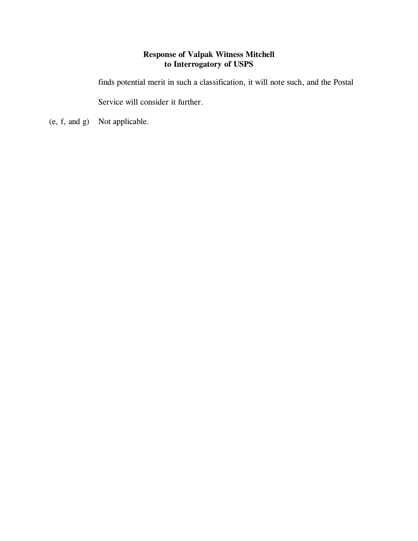finds potential merit in such a classification, it will note such, and the Postal

(e, f, and g) Not applicable.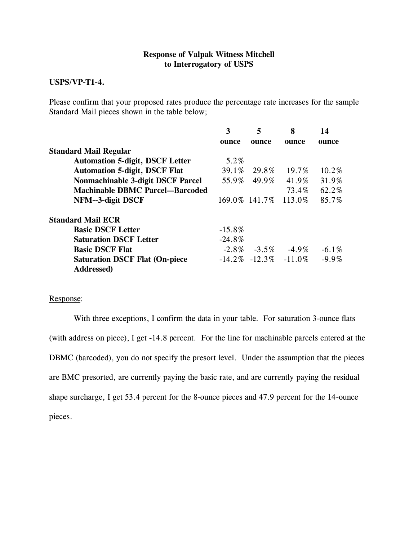# **USPS/VP-T1-4.**

 $\frac{1}{2}$  Standard Mail nieces shown in the table below: Standard Mail pieces shown in the table below;

|                                                             | 3         | 5        | 8                             | 14       |
|-------------------------------------------------------------|-----------|----------|-------------------------------|----------|
|                                                             | ounce     | ounce    | ounce                         | ounce    |
| <b>Standard Mail Regular</b>                                |           |          |                               |          |
| <b>Automation 5-digit, DSCF Letter</b>                      | 5.2%      |          |                               |          |
| <b>Automation 5-digit, DSCF Flat</b>                        | $39.1\%$  | 29.8%    | 19.7%                         | $10.2\%$ |
| <b>Nonmachinable 3-digit DSCF Parcel</b>                    | 55.9%     | 49.9%    | 41.9%                         | 31.9%    |
| <b>Machinable DBMC Parcel-Barcoded</b>                      |           |          | 73.4%                         | 62.2%    |
| NFM--3-digit DSCF                                           |           |          | 169.0% 141.7% 113.0%          | 85.7%    |
| <b>Standard Mail ECR</b>                                    |           |          |                               |          |
| <b>Basic DSCF Letter</b>                                    | $-15.8\%$ |          |                               |          |
| <b>Saturation DSCF Letter</b>                               | $-24.8%$  |          |                               |          |
| <b>Basic DSCF Flat</b>                                      | $-2.8\%$  | $-3.5\%$ | -4.9%                         | $-6.1\%$ |
| <b>Saturation DSCF Flat (On-piece</b><br><b>Addressed</b> ) |           |          | $-14.2\%$ $-12.3\%$ $-11.0\%$ | $-9.9\%$ |
|                                                             |           |          |                               |          |

#### Response:

With three exceptions, I confirm the data in your table. For saturation 3-ounce flats (with address on piece), I get -14.8 percent. For the line for machinable parcels entered at the DBMC (barcoded), you do not specify the presort level. Under the assumption that the pieces are BMC presorted, are currently paying the basic rate, and are currently paying the residual shape surcharge, I get 53.4 percent for the 8-ounce pieces and 47.9 percent for the 14-ounce pieces.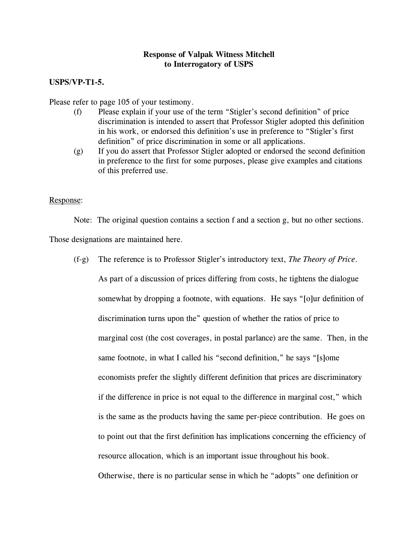# **USPS/VP-T1-5.**

- Please refer to page 105 of your testimony.<br>
(f) Please explain if your use of the term "Stigler's second definition" of price discrimination is intended to assert that Professor Stigler adopted this definition in his work, or endorsed this definition's use in preference to "Stigler's first definition" of price discrimination in some or all applications.
	- If you do assert that Professor Stigler adopted or endorsed the second definition (g) If you do assert that Professor Stigler adopted or endorsed the second definition in preference to the first for some purposes, please give examples and citations of this preferred use. of this preferred use.

#### Response:

 $\sum_{i=1}^n a_i$  and a section contains a section  $\sum_{i=1}^n a_i$  section section section section sections.

Those designations are maintained here.

(f-g) The reference is to Professor Stigler's introductory text, *The Theory of Price*.

 $\mathcal{A}$  part of a discussion of prices differing from costs, he tightens are different somewhat by dropping a footnote, with equations. He says "[o]ur definition of discrimination turns upon the" question of whether the ratios of price to marginal cost (the cost coverages, in postal parlance) are the same. Then, in the same footnote, in what I called his "second definition," he says "[s]ome economists prefer the slightly different definition that prices are discriminatory if the difference in price is not equal to the difference in marginal cost," which is the same as the products having the same per-piece contribution. He goes on to point out that the first definition has implications concerning the efficiency of resource allocation, which is an important issue throughout his book. Otherwise, there is no particular sense in which he "adopts" one definition or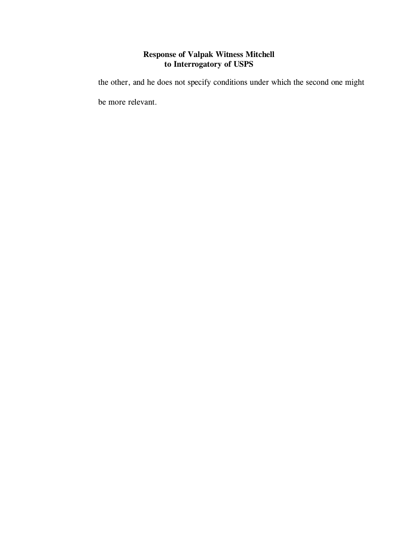the other, and he does not specify conditions under which the second one might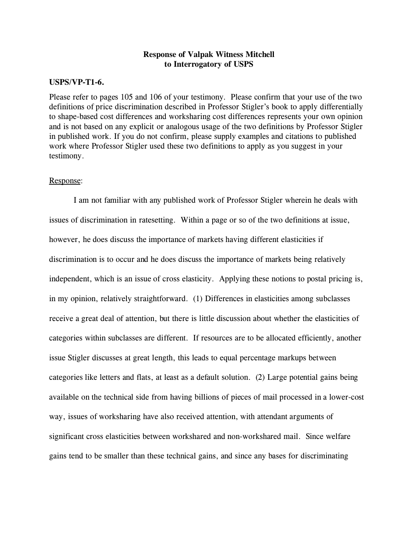## **USPS/VP-T1-6.**

Please refer to pages 105 and 106 of your testimony. Please confirm that your use of the two definitions of price discrimination described in Professor Stigler's book to apply differentially to shape-based cost differences and worksharing cost differences represents your own opinion and is not based on any explicit or analogous usage of the two definitions by Professor Stigler in published work. If you do not confirm, please supply examples and citations to published work where Professor Stigler used these two definitions to apply as you suggest in your  $w = \frac{1}{2}$  where  $\frac{1}{2}$  is the finition of a professor  $\frac{1}{2}$  in your suggest in your testimony.

#### Response:

I am not familiar with any published work of  $P$  rotation  $\mathcal{S}$  such stigler wherein he deals with  $\mathcal{S}$ issues of discrimination in ratesetting. Within a page or so of the two definitions at issue, however, he does discuss the importance of markets having different elasticities if discrimination is to occur and he does discuss the importance of markets being relatively independent, which is an issue of cross elasticity. Applying these notions to postal pricing is, in my opinion, relatively straightforward. (1) Differences in elasticities among subclasses receive a great deal of attention, but there is little discussion about whether the elasticities of categories within subclasses are different. If resources are to be allocated efficiently, another issue Stigler discusses at great length, this leads to equal percentage markups between categories like letters and flats, at least as a default solution. (2) Large potential gains being available on the technical side from having billions of pieces of mail processed in a lower-cost way, issues of worksharing have also received attention, with attendant arguments of significant cross elasticities between workshared and non-workshared mail. Since welfare gains tend to be smaller than these technical gains, and since any bases for discriminating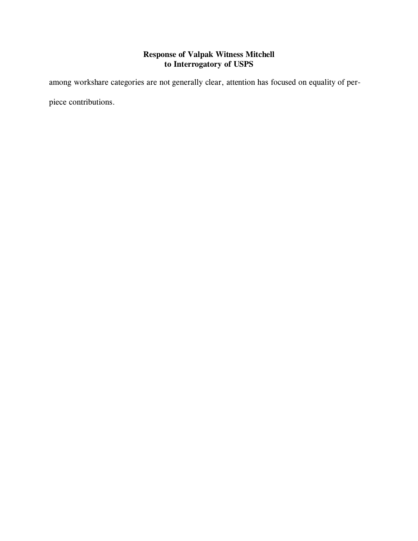among workshare categories are not generally clear, attention has focused on equality of perpiece contributions.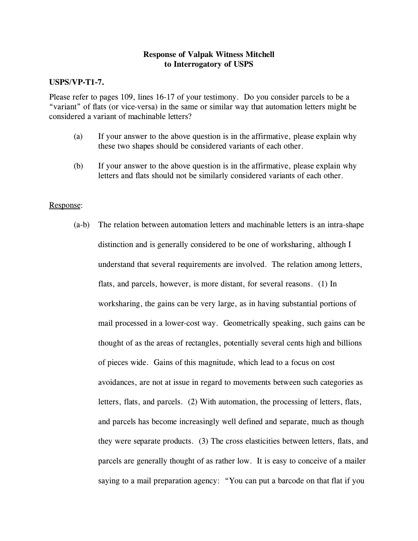# **USPS/VP-T1-7.**

Please refer to pages 109, lines 16-17 of your testimony. Do you consider parcels to be a "variant" of flats (or vice-versa) in the same or similar way that automation letters might be considered a variant of machinable letters?

- $(a)$ If your answer to the above question is in the affirmative, please explain why these two shapes should be considered variants of each other. these two shapes should be considered variants of each other.
- (b) If your answer to the above question is in the affirmative, please explain why letters and flats should not be similarly considered variants of each other. letters and flats should not be similarly considered variants of each other.

#### Response:

(a-b) The relation between automation letters and machinable letters is an intra-shape distinction and is generally considered to be one of  $\theta$ , although I would in  $\theta$ understand that several requirements are involved. The relation among letters, flats, and parcels, however, is more distant, for several reasons. (1) In worksharing, the gains can be very large, as in having substantial portions of mail processed in a lower-cost way. Geometrically speaking, such gains can be thought of as the areas of  $\mathcal{L}_{\text{max}}$  of  $\mathcal{L}_{\text{max}}$  is high and billions high and billions high and billions high and billions high and billions high and billions  $\mathcal{L}_{\text{max}}$ of pieces wide. Gains of this magnitude, which lead to a focus on cost avoidances, are not at issue in regard to movements between such categories as letters, flats, and parcels. (2) With automation, the processing of letters, flats, and parcels has become increasingly well defined and separate, much as though  $t_{\rm t}$  were separate products. (3) The cross elasticities between letters, flats, and flats, and parcels are generally thought of as rather low. It is easy to conceive of a mailer saying to a mail preparation agency: "You can put a barcode on that flat if you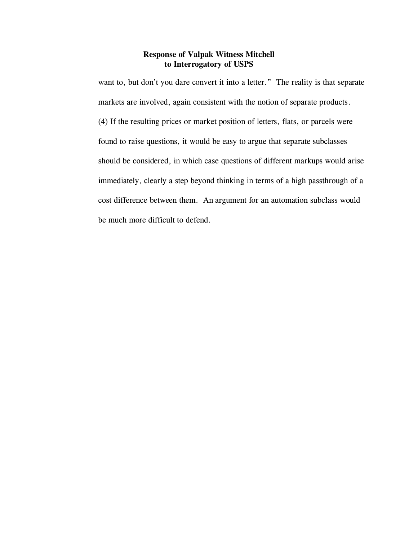want to, but don't you dare convert it into a letter." The reality is that separate markets are involved, again consistent with the notion of separate products. (4) If the resulting prices or market position of letters, flats, or parcels were found to raise questions, it would be easy to argue that separate subclasses should be considered, in which case questions of different markups would arise immediately, clearly a step beyond thinking in terms of a high passthrough of a cost difference between them. An argument for an automation subclass would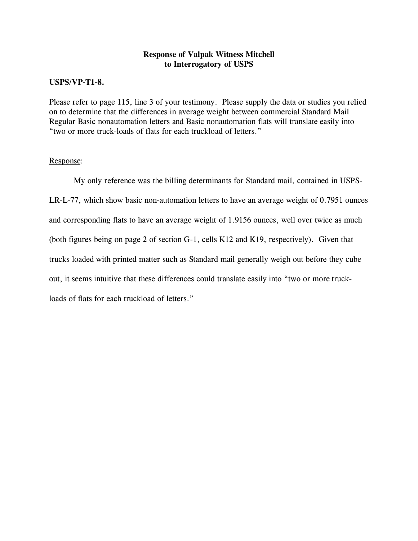## **USPS/VP-T1-8.**

Please refer to page 115, line 3 of your testimony. Please supply the data or studies you relied<br>on to determine that the differences in average weight between commercial Standard Mail Regular Basic nonautomation letters and Basic nonautomation flats will translate easily into "two or more truck-loads of flats for each truckload of letters."

#### Response:

My only reference was the billing determinants for Standard mail, contained in USPS- $\mathcal{L}_1$ , which show basic non-automation letters to have an average weight of 0.7951 ounces and corresponding flats to have an average weight of 1.9156 ounces, well over twice as much (both figures being on page 2 of section G-1, cells K12 and K19, respectively). Given that trucks loaded with printed matter such as Standard mail generally weigh out before they cube out, it seems intuitive that these differences could translate easily into "two or more truckloads of flats for each truckload of letters."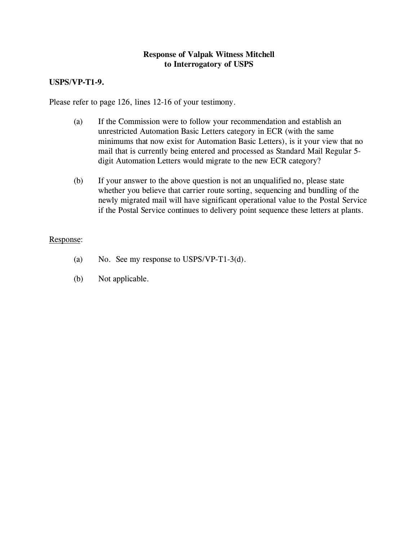# **USPS/VP-T1-9.**

Please refer to page 126, lines 12-16 of your testimony.

- (a) If the Commission were to follow your recommendation and establish an unrestricted Automation Basic Letters category in ECR (with the same minimums that now exist for Automation Basic Letters), is it your view that no mail that is currently being entered and processed as Standard Mail Regular 5- $\frac{1}{2}$  matrices is considered as  $\frac{1}{2}$  is considered as  $\frac{1}{2}$  and  $\frac{1}{2}$   $\frac{1}{2}$  and  $\frac{1}{2}$  and  $\frac{1}{2}$  and  $\frac{1}{2}$  and  $\frac{1}{2}$  and  $\frac{1}{2}$  and  $\frac{1}{2}$  and  $\frac{1}{2}$  and  $\frac{1}{2}$  and  $\frac{1}{2}$ digit Automation Letters would migrate to the new ECR category?
- (b) If your answer to the above question is not an unqualified no, please state whether you believe that carrier route sorting, sequencing and bundling of the newly migrated mail will have significant operational value to the Postal Service  $\frac{1}{2}$  mail  $\frac{1}{2}$  migration continues to delivery point sequence these letters at plants if the Postal Service continues to delivery point sequence these letters at plants.

#### Response:

- (a)  $\sum_{i=1}^{\infty}$  and  $\sum_{i=1}^{\infty}$  surprise to USPS/VP-T1-3(d).
- $\sum_{i=1}^{\infty}$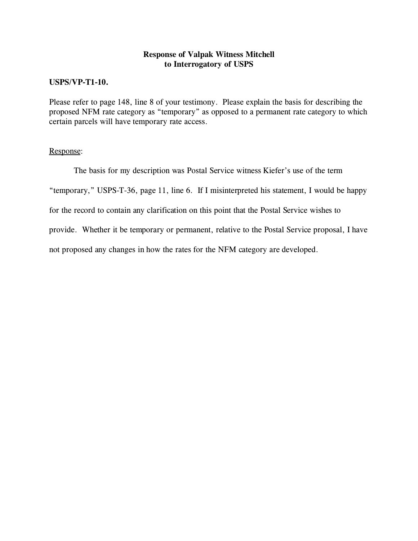# **USPS/VP-T1-10.**

Please refer to page 148, line 8 of your testimony. Please explain the basis for describing the proposed NFM rate category as "temporary" as opposed to a permanent rate category to which proposed the networking of the category as "temporary" as opposed to a permanent rate category to which is certain parcels will have temporary rate access.

#### Response:

The basis for my description was Postal Service witness Kiefer's use of the term "temporary," USPS-T-36, page 11, line 6. If I misinterpreted his statement, I would be happy for the record to contain any clarification on this point that the Postal Service wishes to provide. Whether it be temporary or permanent, relative to the Postal Service proposal, I have not proposed any changes in how the rates for the NFM category are developed.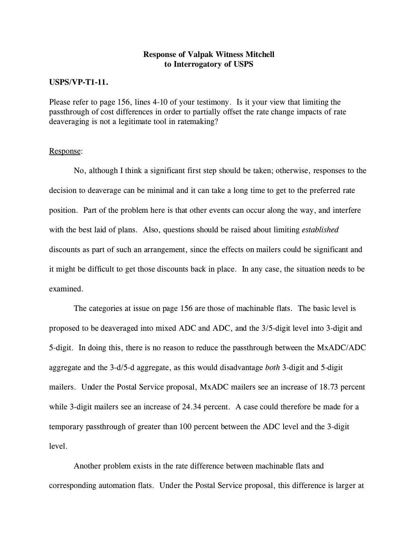## **USPS/VP-T1-11.**

Please refer to page 156, lines 4-10 of your testimony. Is it your view that limiting the passthrough of cost differences in order to partially offset the rate change impacts of rate deaveraging is not a legitimate tool in rate making? deaveraging is not a legitimate tool in rate to  $\frac{1}{e}$ .

## Response:

 $N_{\rm p}$  think a significant first step should be taken; otherwise, response to the taken; otherwise, responses to the taken; otherwise,  $\sigma$ decision to deaverage can be minimal and it can take a long time to get to the preferred rate position. Part of the problem here is that other events can occur along the way, and interfere with the best laid of plans. Also, questions should be raised about limiting *established* discounts as part of such an arrangement, since the effects on mailers could be significant and it might be difficult to get those discounts back in place. In any case, the situation needs to be examined.

The categories at issue on page 156 are those of machinable flats. The basic level is the proposed to be deaveraged into mixed ADC and ADC, and the 3/5-digit level into 3-digit and 5-digit. In doing this, there is no reason to reduce the passthrough between the MxADC/ADC aggregate and the 3-d/5-d aggregate, as this would disadvantage *both* 3-digit and 5-digit mailers. Under the Postal Service proposal, MxADC mailers see an increase of 18.73 percent while 3-digit mailers see an increase of 24.34 percent. A case could therefore be made for a temporary passthrough of greater than 100 percent between the ADC level and the 3-digit level.

Another problem exists in the rate difference between machinable flats and corresponding automation flats. Under the Postal Service proposal, this difference is larger at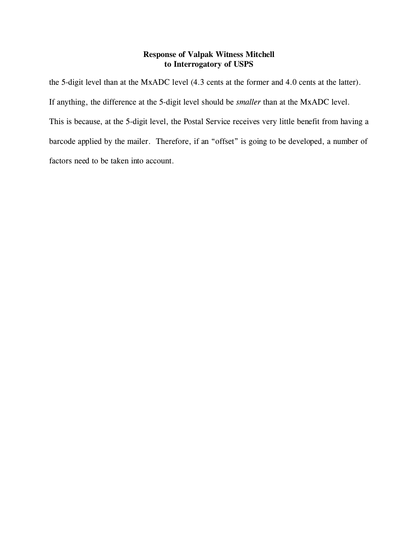the 5-digit level than at the MxADC level (4.3 cents at the former and 4.0 cents at the latter). If anything, the difference at the 5-digit level should be *smaller* than at the MxADC level. This is because, at the 5-digit level, the Postal Service receives very little benefit from having a barcode applied by the mailer. Therefore, if an "offset" is going to be developed, a number of factors need to be taken into account.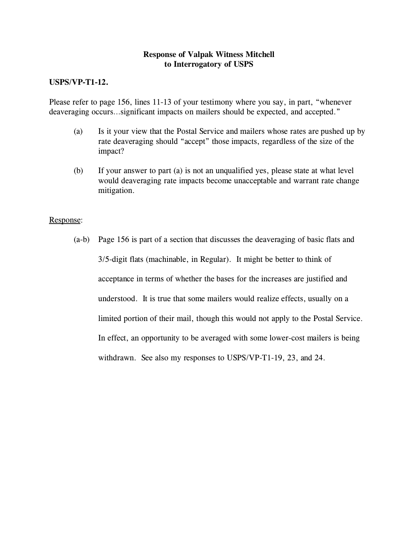# **USPS/VP-T1-12.**

 $P_{\text{reg}}$  and the page 156,  $\frac{1}{2}$  of  $\frac{1}{2}$  of  $\frac{1}{2}$  of  $\frac{1}{2}$  of  $\frac{1}{2}$  of  $\frac{1}{2}$  of  $\frac{1}{2}$  of  $\frac{1}{2}$  of  $\frac{1}{2}$  of  $\frac{1}{2}$  or  $\frac{1}{2}$  or  $\frac{1}{2}$  or  $\frac{1}{2}$  or  $\frac{1}{2}$  or  $\frac{1}{2}$  o deaveraging occurs…significant impacts on mailers should be expected, and accepted."

- $\frac{1}{2}$  Is it your view that the Postal Service and mailers whose rates are pushed up by rate deaveraging should "accept" those impacts, regardless of the size of the impact?
- (b) If your answer to part (a) is not an unqualified yes, please state at what level would deaveraging rate impacts become unacceptable and warrant rate change.<br>mitigation .......<sub>g</sub>........

#### Response:

(a-b) Page 156 is part of a section that discusses the deaveraging of basic flats and 3/5-digit flats (machinable, in Regular). It might be better to think of acceptance in terms of whether the bases for the increases are justified and understood. It is true that some mailers would realize effects, usually on a limited portion of their mail, though this would not apply to the Postal Service. In effect, an opportunity to be averaged with some lower-cost mailers is being withdrawn. See also my responses to USPS/VP-T1-19, 23, and 24.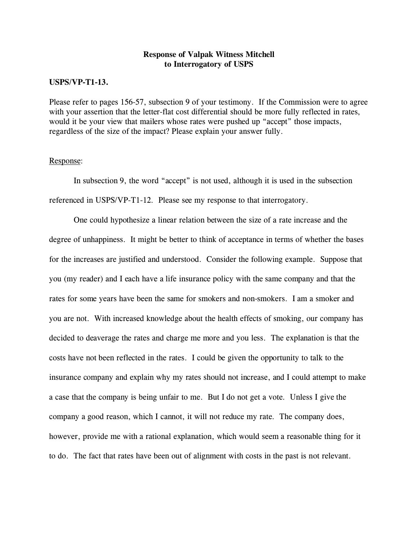## **USPS/VP-T1-13.**

Please refer to pages 156-57, subsection 9 of your testimony. If the Commission were to agree with your assertion that the letter-flat cost differential should be more fully reflected in rates. would it be your view that mailers whose rates were pushed up "accept" those impacts,  $\frac{1}{2}$  regardless of the size of the impact? Please evolain vour answer fully regardless of the size of the impact? Please explain your answer fully.

#### Response:

In subsection 9, the word "accept" is not used, although it is used in the subsection referenced in USPS/VP-T1-12. Please see my response to that interrogatory.

One could hypothesize a linear relation between the size of a rate increase and the degree of unhappiness. It might be better to think of acceptance in terms of whether the bases for the increases are justified and understood. Consider the following example. Suppose that you (my reader) and I each have a life insurance policy with the same company and that the rates for some years have been the same for smokers and non-smokers. I am a smoker and you are not. With increased knowledge about the health effects of smoking, our company has decided to deaverage the rates and charge me more and you less. The explanation is that the costs have not been reflected in the rates. I could be given the opportunity to talk to the insurance company and explain why my rates should not increase, and I could attempt to make a case that the company is being unfair to me. But I do not get a vote. Unless I give the company a good reason, which I cannot, it will not reduce my rate. The company does, however, provide me with a rational explanation, which would seem a reasonable thing for it to do. The fact that rates have been out of alignment with costs in the past is not relevant.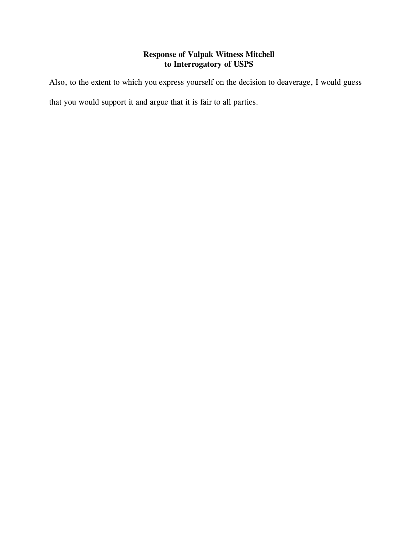Also, to the extent to which you express yourself on the decision to deaverage, I would guess

that you would support it and argue that it is fair to all parties.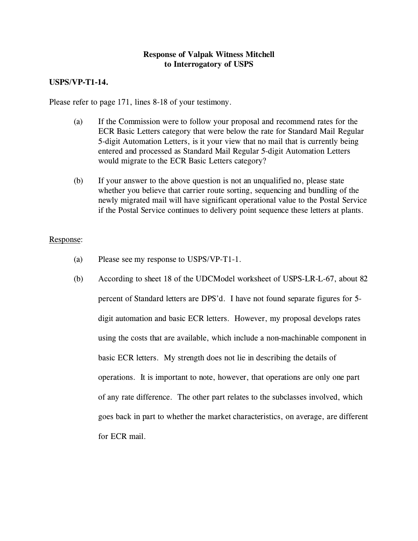# **USPS/VP-T1-14.**

Please refer to page 171, lines 8-18 of your testimony.

- (a) If the Commission were to follow your proposal and recommend rates for the ECR Basic Letters category that were below the rate for Standard Mail Regular 5-digit Automation Letters, is it your view that no mail that is currently being entered and processed as Standard Mail Regular 5-digit Automation Letters  $\frac{1}{2}$  enter a normal matrix  $\frac{1}{2}$  or  $\frac{1}{2}$  and  $\frac{1}{2}$  and  $\frac{1}{2}$  and  $\frac{1}{2}$  and  $\frac{1}{2}$  and  $\frac{1}{2}$  and  $\frac{1}{2}$  and  $\frac{1}{2}$  and  $\frac{1}{2}$  and  $\frac{1}{2}$  and  $\frac{1}{2}$  and  $\frac{1}{2}$  and  $\frac{1}{2}$  $\sim$  and migrate to the ECR Basic Letters category?
- (b) If your answer to the above question is not an unqualified no, please state whether you believe that carrier route sorting, sequencing and bundling of the newly migrated mail will have significant operational value to the Postal Service  $\frac{1}{2}$  mail  $\frac{1}{2}$  migration continues to delivery point sequence these letters at plants if the Postal Service continues to delivery point sequence these letters at plants.

#### Response:

- (a) Please see my response to USPS/VP-T1-1.
- (b) According to sheet 18 of the UDCMOdel worksheet of USPS-LIFE  $\alpha$ , about 12 percent of Standard letters are DPS'd. I have not found separate figures for 5 digit automation and basic ECR letters. However, my proposal develops rates using the costs that are available, which include a non-machinable component in basic ECR letters. My strength does not lie in describing the details of operations. It is important to note, however, that operations are only one part of any rate difference. The other part relates to the subclasses involved, which goes back in part to whether the market characteristics, on average, are different  $f(x) = f(x)$  matrix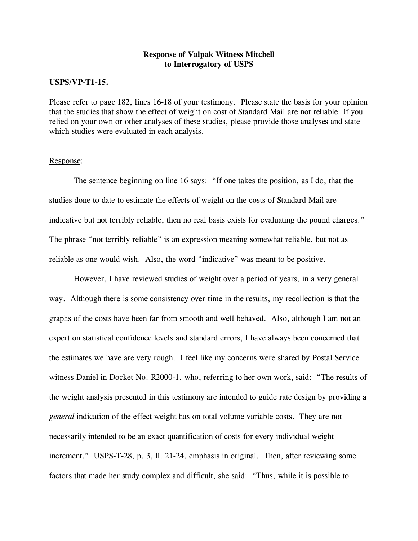## **USPS/VP-T1-15.**

Please refer to page 182, lines 16-18 of your testimony. Please state the basis for your opinion that the studies that show the effect of weight on cost of Standard Mail are not reliable. If you relied on your own or other analyses of these studies, please provide those analyses and state which studies were evaluated in each analysis. which studies were evaluated in each analysis.

#### Response:

The sentence beginning on line 16 says: "If one takes the position, as I do, that the studies done to date the effects of  $\mathcal{S}$  of  $\mathcal{S}$  of  $\mathcal{S}$  of  $\mathcal{S}$  . The costs of  $\mathcal{S}$  are are are as indicative but not terrible, then no real basis  $\mathcal{E}$  is the point charges. The point charges of  $\mathcal{E}$ The phrase "not terribly reliable" is an expression meaning somewhat reliable, but not as reliable as one would wish. Also, the word "indicative" was meant to be positive.

However, I have reviewed studies of weight over a period of years, in a very general way. Although there is some consistency over time in the results, my recollection is that the  $g_{\text{eff}}$  is defined. Also, although and well behaved. Also, although I am not although I am not an indices  $\frac{1}{2}$ expert on statistical confidence levels and standard errors, I have always been concerned that the estimates we have are very rough. I feel like my concerns were shared by Postal Service with Daniel in Docket No. R2000-1, who, referring to her own work, said: "The results of the weight analysis presented in this testimony are intended to guide rate design by providing a *general* indication of the effect weight has on total volume variable costs. They are not necessarily intended to be an exact quantification of costs for every individual weight increment." USPS-T-28, p. 3, ll. 21-24, emphasis in original. Then, after reviewing some factors that made her study complex and difficult, she said: "Thus, while it is possible to